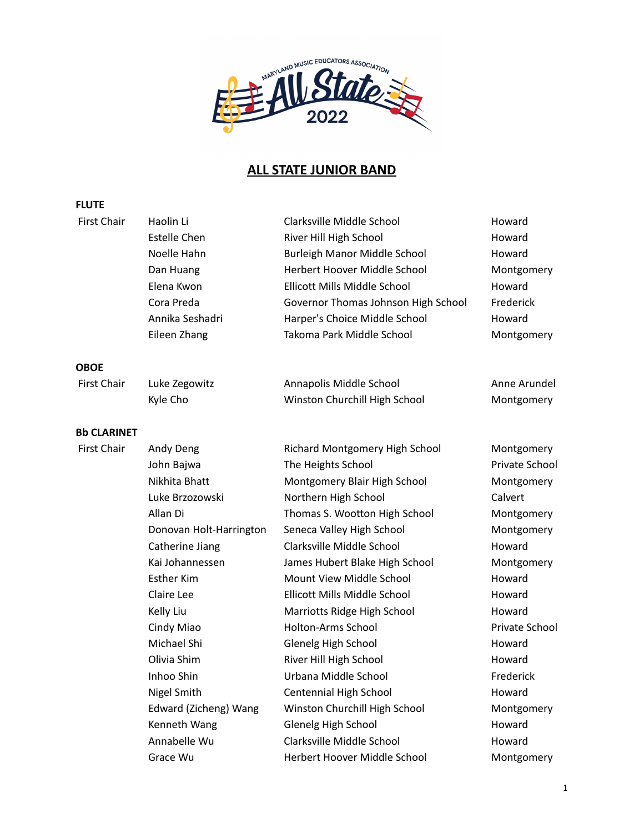

## **ALL STATE JUNIOR BAND**

## **FLUTE**

| <b>First Chair</b> | Haolin Li               | Clarksville Middle School           | Howard         |
|--------------------|-------------------------|-------------------------------------|----------------|
|                    | <b>Estelle Chen</b>     | River Hill High School              | Howard         |
|                    | Noelle Hahn             | <b>Burleigh Manor Middle School</b> | Howard         |
|                    | Dan Huang               | Herbert Hoover Middle School        | Montgomery     |
|                    | Elena Kwon              | Ellicott Mills Middle School        | Howard         |
|                    | Cora Preda              | Governor Thomas Johnson High School | Frederick      |
|                    | Annika Seshadri         | Harper's Choice Middle School       | Howard         |
|                    | Eileen Zhang            | Takoma Park Middle School           | Montgomery     |
| OBOE               |                         |                                     |                |
| <b>First Chair</b> | Luke Zegowitz           | Annapolis Middle School             | Anne Arundel   |
|                    | Kyle Cho                | Winston Churchill High School       | Montgomery     |
| <b>Bb CLARINET</b> |                         |                                     |                |
| <b>First Chair</b> | Andy Deng               | Richard Montgomery High School      | Montgomery     |
|                    | John Bajwa              | The Heights School                  | Private School |
|                    | Nikhita Bhatt           | Montgomery Blair High School        | Montgomery     |
|                    | Luke Brzozowski         | Northern High School                | Calvert        |
|                    | Allan Di                | Thomas S. Wootton High School       | Montgomery     |
|                    | Donovan Holt-Harrington | Seneca Valley High School           | Montgomery     |
|                    | Catherine Jiang         | Clarksville Middle School           | Howard         |
|                    | Kai Johannessen         | James Hubert Blake High School      | Montgomery     |
|                    | <b>Esther Kim</b>       | Mount View Middle School            | Howard         |
|                    | Claire Lee              | Ellicott Mills Middle School        | Howard         |
|                    | Kelly Liu               | Marriotts Ridge High School         | Howard         |
|                    | Cindy Miao              | Holton-Arms School                  | Private School |
|                    | Michael Shi             | Glenelg High School                 | Howard         |
|                    | Olivia Shim             | River Hill High School              | Howard         |
|                    | Inhoo Shin              | Urbana Middle School                | Frederick      |
|                    | Nigel Smith             | Centennial High School              | Howard         |
|                    | Edward (Zicheng) Wang   | Winston Churchill High School       | Montgomery     |
|                    | Kenneth Wang            | Glenelg High School                 | Howard         |
|                    | Annabelle Wu            | Clarksville Middle School           | Howard         |
|                    | Grace Wu                | Herbert Hoover Middle School        | Montgomery     |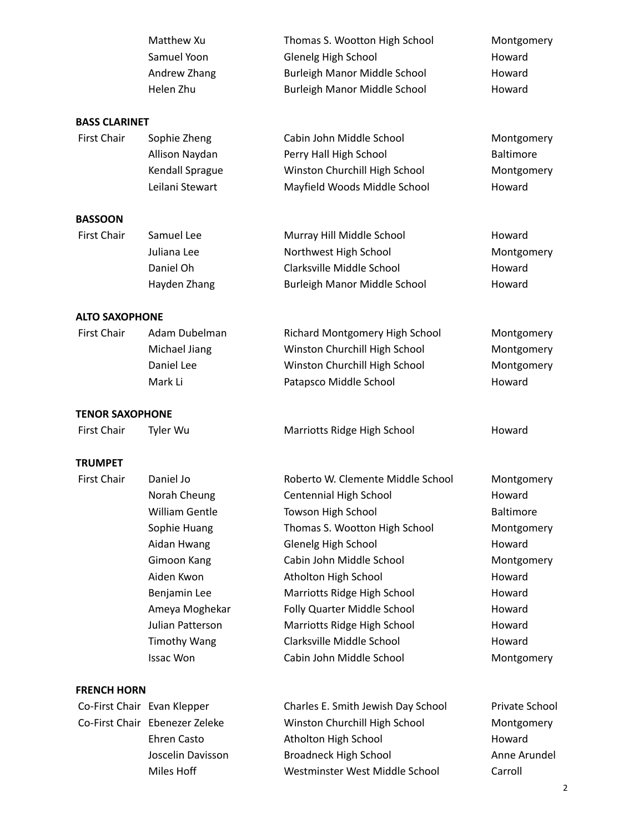|                                             | Matthew Xu<br>Samuel Yoon<br>Andrew Zhang<br>Helen Zhu | Thomas S. Wootton High School<br>Glenelg High School<br>Burleigh Manor Middle School<br>Burleigh Manor Middle School | Montgomery<br>Howard<br>Howard<br>Howard |
|---------------------------------------------|--------------------------------------------------------|----------------------------------------------------------------------------------------------------------------------|------------------------------------------|
| <b>BASS CLARINET</b>                        |                                                        |                                                                                                                      |                                          |
| <b>First Chair</b>                          | Sophie Zheng                                           | Cabin John Middle School                                                                                             | Montgomery                               |
|                                             | Allison Naydan                                         | Perry Hall High School                                                                                               | Baltimore                                |
|                                             | Kendall Sprague                                        | Winston Churchill High School                                                                                        | Montgomery                               |
|                                             | Leilani Stewart                                        | Mayfield Woods Middle School                                                                                         | Howard                                   |
| <b>BASSOON</b>                              |                                                        |                                                                                                                      |                                          |
| <b>First Chair</b>                          | Samuel Lee                                             | Murray Hill Middle School                                                                                            | Howard                                   |
|                                             | Juliana Lee                                            | Northwest High School                                                                                                | Montgomery                               |
|                                             | Daniel Oh                                              | Clarksville Middle School                                                                                            | Howard                                   |
|                                             | Hayden Zhang                                           | Burleigh Manor Middle School                                                                                         | Howard                                   |
|                                             |                                                        |                                                                                                                      |                                          |
| <b>ALTO SAXOPHONE</b><br><b>First Chair</b> | Adam Dubelman                                          | Richard Montgomery High School                                                                                       | Montgomery                               |
|                                             | Michael Jiang                                          | Winston Churchill High School                                                                                        | Montgomery                               |
|                                             | Daniel Lee                                             | Winston Churchill High School                                                                                        | Montgomery                               |
|                                             | Mark Li                                                | Patapsco Middle School                                                                                               | Howard                                   |
|                                             |                                                        |                                                                                                                      |                                          |
| <b>TENOR SAXOPHONE</b>                      |                                                        |                                                                                                                      |                                          |
| <b>First Chair</b>                          | Tyler Wu                                               | Marriotts Ridge High School                                                                                          | Howard                                   |
| <b>TRUMPET</b>                              |                                                        |                                                                                                                      |                                          |
| <b>First Chair</b>                          | Daniel Jo                                              | Roberto W. Clemente Middle School                                                                                    | Montgomery                               |
|                                             | Norah Cheung                                           | Centennial High School                                                                                               | Howard                                   |
|                                             | William Gentle                                         | Towson High School                                                                                                   | Baltimore                                |
|                                             | Sophie Huang                                           | Thomas S. Wootton High School                                                                                        | Montgomery                               |
|                                             | Aidan Hwang                                            | Glenelg High School                                                                                                  | Howard                                   |
|                                             | Gimoon Kang                                            | Cabin John Middle School                                                                                             | Montgomery                               |
|                                             | Aiden Kwon                                             | Atholton High School                                                                                                 | Howard                                   |
|                                             | Benjamin Lee                                           | Marriotts Ridge High School                                                                                          | Howard                                   |
|                                             | Ameya Moghekar                                         | Folly Quarter Middle School                                                                                          | Howard                                   |
|                                             | Julian Patterson                                       | Marriotts Ridge High School                                                                                          | Howard                                   |
|                                             | <b>Timothy Wang</b>                                    | Clarksville Middle School                                                                                            | Howard                                   |
|                                             | <b>Issac Won</b>                                       | Cabin John Middle School                                                                                             | Montgomery                               |
| <b>FRENCH HORN</b>                          |                                                        |                                                                                                                      |                                          |
|                                             | Co-First Chair Evan Klepper                            | Charles E. Smith Jewish Day School                                                                                   | Private School                           |
|                                             | Co-First Chair Ebenezer Zeleke                         | Winston Churchill High School                                                                                        | Montgomery                               |
|                                             | Ehren Casto                                            | Atholton High School                                                                                                 | Howard                                   |
|                                             | Joscelin Davisson                                      | <b>Broadneck High School</b>                                                                                         | Anne Arundel                             |
|                                             | Miles Hoff                                             | Westminster West Middle School                                                                                       | Carroll                                  |

2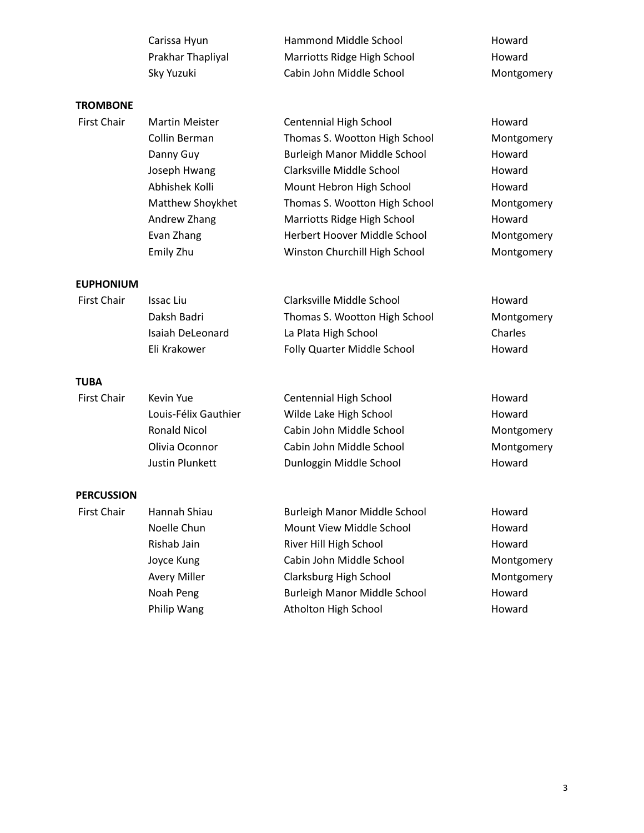|                    | Carissa Hyun          | Hammond Middle School         | Howard     |
|--------------------|-----------------------|-------------------------------|------------|
|                    | Prakhar Thapliyal     | Marriotts Ridge High School   | Howard     |
|                    | Sky Yuzuki            | Cabin John Middle School      | Montgomery |
| <b>TROMBONE</b>    |                       |                               |            |
| <b>First Chair</b> | <b>Martin Meister</b> | Centennial High School        | Howard     |
|                    | Collin Berman         | Thomas S. Wootton High School | Montgomery |
|                    | Danny Guy             | Burleigh Manor Middle School  | Howard     |
|                    | Joseph Hwang          | Clarksville Middle School     | Howard     |
|                    | Abhishek Kolli        | Mount Hebron High School      | Howard     |
|                    | Matthew Shoykhet      | Thomas S. Wootton High School | Montgomery |
|                    | Andrew Zhang          | Marriotts Ridge High School   | Howard     |
|                    | Evan Zhang            | Herbert Hoover Middle School  | Montgomery |
|                    | Emily Zhu             | Winston Churchill High School | Montgomery |
| <b>EUPHONIUM</b>   |                       |                               |            |
| <b>First Chair</b> | <b>Issac Liu</b>      | Clarksville Middle School     | Howard     |
|                    | Daksh Badri           | Thomas S. Wootton High School | Montgomery |
|                    | Isaiah DeLeonard      | La Plata High School          | Charles    |
|                    | Eli Krakower          | Folly Quarter Middle School   | Howard     |
| <b>TUBA</b>        |                       |                               |            |
| <b>First Chair</b> | Kevin Yue             | Centennial High School        | Howard     |
|                    | Louis-Félix Gauthier  | Wilde Lake High School        | Howard     |
|                    | <b>Ronald Nicol</b>   | Cabin John Middle School      | Montgomery |
|                    | Olivia Oconnor        | Cabin John Middle School      | Montgomery |
|                    | Justin Plunkett       | Dunloggin Middle School       | Howard     |
| <b>PERCUSSION</b>  |                       |                               |            |
| <b>First Chair</b> | Hannah Shiau          | Burleigh Manor Middle School  | Howard     |
|                    | Noelle Chun           | Mount View Middle School      | Howard     |
|                    | Rishab Jain           | River Hill High School        | Howard     |
|                    | Joyce Kung            | Cabin John Middle School      | Montgomery |
|                    | <b>Avery Miller</b>   | Clarksburg High School        | Montgomery |
|                    | Noah Peng             | Burleigh Manor Middle School  | Howard     |
|                    | Philip Wang           | Atholton High School          | Howard     |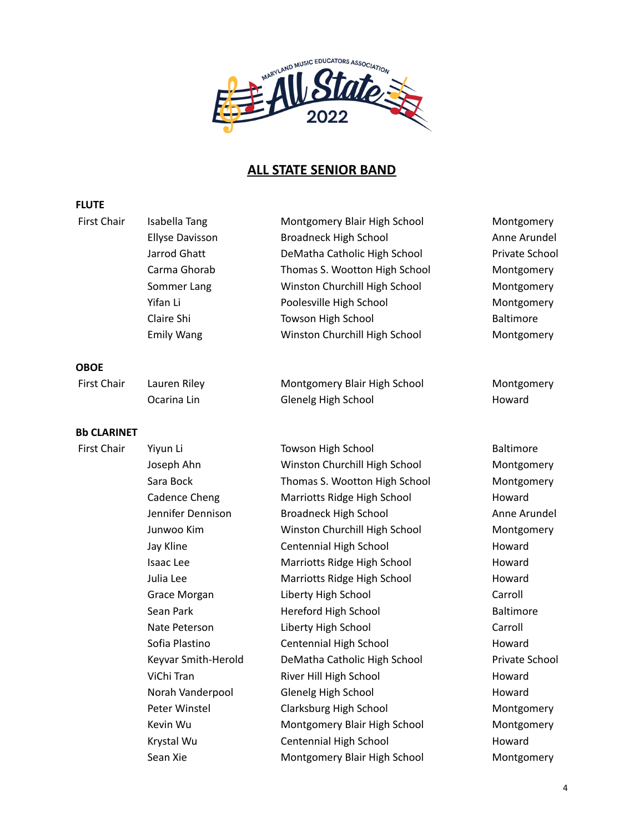

## **ALL STATE SENIOR BAND**

## **FLUTE**

| First Chair        | Isabella Tang          | Montgomery Blair High School  | Montgomery       |
|--------------------|------------------------|-------------------------------|------------------|
|                    | <b>Ellyse Davisson</b> | <b>Broadneck High School</b>  | Anne Arundel     |
|                    | Jarrod Ghatt           | DeMatha Catholic High School  | Private School   |
|                    | Carma Ghorab           | Thomas S. Wootton High School | Montgomery       |
|                    | Sommer Lang            | Winston Churchill High School | Montgomery       |
|                    | Yifan Li               | Poolesville High School       | Montgomery       |
|                    | Claire Shi             | Towson High School            | Baltimore        |
|                    | <b>Emily Wang</b>      | Winston Churchill High School | Montgomery       |
| <b>OBOE</b>        |                        |                               |                  |
| <b>First Chair</b> | Lauren Riley           | Montgomery Blair High School  | Montgomery       |
|                    | Ocarina Lin            | Glenelg High School           | Howard           |
| <b>Bb CLARINET</b> |                        |                               |                  |
| <b>First Chair</b> | Yiyun Li               | <b>Towson High School</b>     | <b>Baltimore</b> |
|                    | Joseph Ahn             | Winston Churchill High School | Montgomery       |
|                    | Sara Bock              | Thomas S. Wootton High School | Montgomery       |
|                    | Cadence Cheng          | Marriotts Ridge High School   | Howard           |
|                    | Jennifer Dennison      | Broadneck High School         | Anne Arundel     |
|                    | Junwoo Kim             | Winston Churchill High School | Montgomery       |
|                    | Jay Kline              | Centennial High School        | Howard           |
|                    | Isaac Lee              | Marriotts Ridge High School   | Howard           |
|                    | Julia Lee              | Marriotts Ridge High School   | Howard           |
|                    | Grace Morgan           | Liberty High School           | Carroll          |
|                    | Sean Park              | Hereford High School          | <b>Baltimore</b> |
|                    | Nate Peterson          | Liberty High School           | Carroll          |
|                    | Sofia Plastino         | Centennial High School        | Howard           |
|                    | Keyvar Smith-Herold    | DeMatha Catholic High School  | Private School   |
|                    | ViChi Tran             | River Hill High School        | Howard           |
|                    | Norah Vanderpool       | Glenelg High School           | Howard           |
|                    | Peter Winstel          | Clarksburg High School        | Montgomery       |
|                    | Kevin Wu               | Montgomery Blair High School  | Montgomery       |
|                    | Krystal Wu             | Centennial High School        | Howard           |
|                    | Sean Xie               | Montgomery Blair High School  | Montgomery       |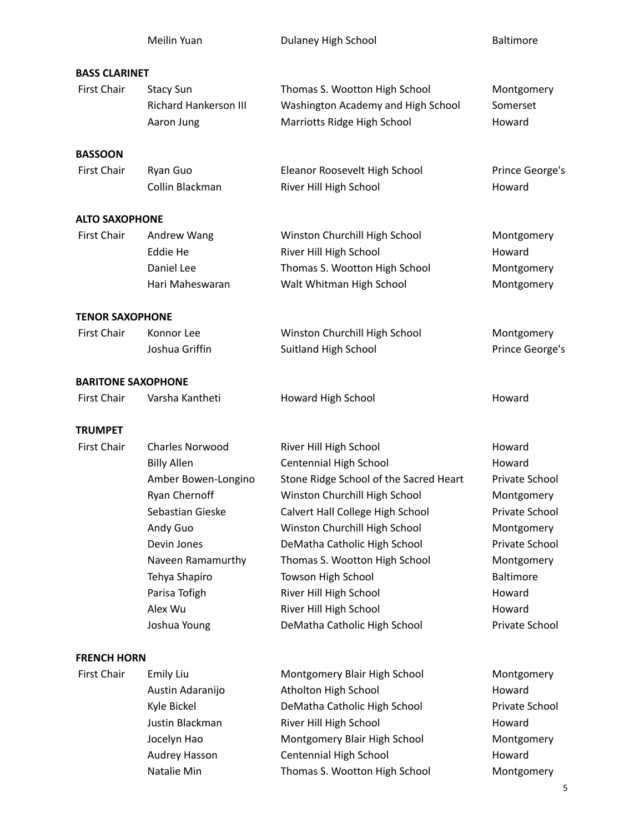|                           | Meilin Yuan                                                                                                                                                                                                    | Dulaney High School                                                                                                                                                                                                                                                                                                                                                         | <b>Baltimore</b>                                                                                                                                                           |
|---------------------------|----------------------------------------------------------------------------------------------------------------------------------------------------------------------------------------------------------------|-----------------------------------------------------------------------------------------------------------------------------------------------------------------------------------------------------------------------------------------------------------------------------------------------------------------------------------------------------------------------------|----------------------------------------------------------------------------------------------------------------------------------------------------------------------------|
| <b>BASS CLARINET</b>      |                                                                                                                                                                                                                |                                                                                                                                                                                                                                                                                                                                                                             |                                                                                                                                                                            |
| <b>First Chair</b>        | <b>Stacy Sun</b><br><b>Richard Hankerson III</b><br>Aaron Jung                                                                                                                                                 | Thomas S. Wootton High School<br>Washington Academy and High School<br>Marriotts Ridge High School                                                                                                                                                                                                                                                                          | Montgomery<br>Somerset<br>Howard                                                                                                                                           |
| <b>BASSOON</b>            |                                                                                                                                                                                                                |                                                                                                                                                                                                                                                                                                                                                                             |                                                                                                                                                                            |
| <b>First Chair</b>        | Ryan Guo<br>Collin Blackman                                                                                                                                                                                    | Eleanor Roosevelt High School<br>River Hill High School                                                                                                                                                                                                                                                                                                                     | Prince George's<br>Howard                                                                                                                                                  |
| <b>ALTO SAXOPHONE</b>     |                                                                                                                                                                                                                |                                                                                                                                                                                                                                                                                                                                                                             |                                                                                                                                                                            |
| <b>First Chair</b>        | Andrew Wang<br>Eddie He<br>Daniel Lee<br>Hari Maheswaran                                                                                                                                                       | Winston Churchill High School<br>River Hill High School<br>Thomas S. Wootton High School<br>Walt Whitman High School                                                                                                                                                                                                                                                        | Montgomery<br>Howard<br>Montgomery<br>Montgomery                                                                                                                           |
| <b>TENOR SAXOPHONE</b>    |                                                                                                                                                                                                                |                                                                                                                                                                                                                                                                                                                                                                             |                                                                                                                                                                            |
| <b>First Chair</b>        | Konnor Lee<br>Joshua Griffin                                                                                                                                                                                   | Winston Churchill High School<br>Suitland High School                                                                                                                                                                                                                                                                                                                       | Montgomery<br>Prince George's                                                                                                                                              |
| <b>BARITONE SAXOPHONE</b> |                                                                                                                                                                                                                |                                                                                                                                                                                                                                                                                                                                                                             |                                                                                                                                                                            |
| <b>First Chair</b>        | Varsha Kantheti                                                                                                                                                                                                | Howard High School                                                                                                                                                                                                                                                                                                                                                          | Howard                                                                                                                                                                     |
| <b>TRUMPET</b>            |                                                                                                                                                                                                                |                                                                                                                                                                                                                                                                                                                                                                             |                                                                                                                                                                            |
| <b>First Chair</b>        | Charles Norwood<br><b>Billy Allen</b><br>Amber Bowen-Longino<br>Ryan Chernoff<br>Sebastian Gieske<br>Andy Guo<br>Devin Jones<br>Naveen Ramamurthy<br>Tehya Shapiro<br>Parisa Tofigh<br>Alex Wu<br>Joshua Young | River Hill High School<br>Centennial High School<br>Stone Ridge School of the Sacred Heart<br>Winston Churchill High School<br>Calvert Hall College High School<br>Winston Churchill High School<br>DeMatha Catholic High School<br>Thomas S. Wootton High School<br>Towson High School<br>River Hill High School<br>River Hill High School<br>DeMatha Catholic High School | Howard<br>Howard<br>Private School<br>Montgomery<br>Private School<br>Montgomery<br>Private School<br>Montgomery<br><b>Baltimore</b><br>Howard<br>Howard<br>Private School |
| <b>FRENCH HORN</b>        |                                                                                                                                                                                                                |                                                                                                                                                                                                                                                                                                                                                                             |                                                                                                                                                                            |
| <b>First Chair</b>        | <b>Emily Liu</b><br>Austin Adaranijo<br>Kyle Bickel<br>Justin Blackman<br>Jocelyn Hao<br>Audrey Hasson<br>Natalie Min                                                                                          | Montgomery Blair High School<br>Atholton High School<br>DeMatha Catholic High School<br>River Hill High School<br>Montgomery Blair High School<br>Centennial High School<br>Thomas S. Wootton High School                                                                                                                                                                   | Montgomery<br>Howard<br>Private School<br>Howard<br>Montgomery<br>Howard<br>Montgomery<br>5                                                                                |